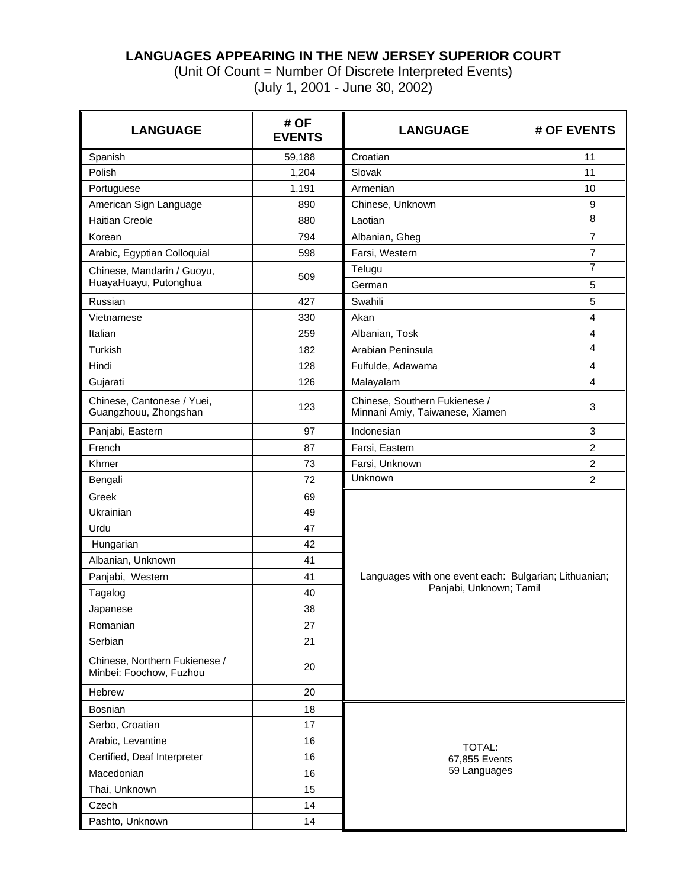### **LANGUAGES APPEARING IN THE NEW JERSEY SUPERIOR COURT**

(Unit Of Count = Number Of Discrete Interpreted Events) (July 1, 2001 - June 30, 2002)

| <b>LANGUAGE</b>                                          | # OF<br><b>EVENTS</b> | <b>LANGUAGE</b>                                                  | # OF EVENTS      |  |  |  |
|----------------------------------------------------------|-----------------------|------------------------------------------------------------------|------------------|--|--|--|
| Spanish                                                  | 59,188                | Croatian                                                         | 11               |  |  |  |
| Polish                                                   | 1,204                 | Slovak                                                           | 11               |  |  |  |
| Portuguese                                               | 1.191                 | Armenian                                                         | 10               |  |  |  |
| American Sign Language                                   | 890                   | Chinese, Unknown                                                 | 9                |  |  |  |
| <b>Haitian Creole</b>                                    | 880                   | Laotian                                                          | 8                |  |  |  |
| Korean                                                   | 794                   | Albanian, Gheg                                                   | $\overline{7}$   |  |  |  |
| Arabic, Egyptian Colloquial                              | 598                   | Farsi, Western                                                   | $\overline{7}$   |  |  |  |
| Chinese, Mandarin / Guoyu,<br>HuayaHuayu, Putonghua      | 509                   | Telugu<br>German                                                 | 7<br>$\mathbf 5$ |  |  |  |
| Russian                                                  | 427                   | Swahili                                                          | $\overline{5}$   |  |  |  |
| Vietnamese                                               | 330                   | Akan                                                             | 4                |  |  |  |
| Italian                                                  | 259                   | Albanian, Tosk                                                   | 4                |  |  |  |
| Turkish                                                  | 182                   | Arabian Peninsula                                                | 4                |  |  |  |
| Hindi                                                    | 128                   |                                                                  | 4                |  |  |  |
|                                                          |                       | Fulfulde, Adawama                                                |                  |  |  |  |
| Gujarati                                                 | 126                   | Malayalam                                                        | 4                |  |  |  |
| Chinese, Cantonese / Yuei,<br>Guangzhouu, Zhongshan      | 123                   | Chinese, Southern Fukienese /<br>Minnani Amiy, Taiwanese, Xiamen | 3                |  |  |  |
| Panjabi, Eastern                                         | 97                    | Indonesian                                                       | 3                |  |  |  |
| French                                                   | 87                    | Farsi, Eastern                                                   | $\overline{c}$   |  |  |  |
| Khmer                                                    | 73                    | Farsi, Unknown                                                   | $\overline{c}$   |  |  |  |
| Bengali                                                  | 72                    | Unknown                                                          | $\overline{2}$   |  |  |  |
| Greek                                                    | 69                    |                                                                  |                  |  |  |  |
| Ukrainian                                                | 49                    |                                                                  |                  |  |  |  |
| Urdu                                                     | 47                    |                                                                  |                  |  |  |  |
| Hungarian                                                | 42                    |                                                                  |                  |  |  |  |
| Albanian, Unknown                                        | 41                    |                                                                  |                  |  |  |  |
| Panjabi, Western                                         | 41                    | Languages with one event each: Bulgarian; Lithuanian;            |                  |  |  |  |
| Tagalog                                                  | 40                    | Panjabi, Unknown; Tamil                                          |                  |  |  |  |
| Japanese                                                 | 38                    |                                                                  |                  |  |  |  |
| Romanian                                                 | 27                    |                                                                  |                  |  |  |  |
| Serbian                                                  | 21                    |                                                                  |                  |  |  |  |
| Chinese, Northern Fukienese /<br>Minbei: Foochow, Fuzhou | 20                    |                                                                  |                  |  |  |  |
| Hebrew                                                   | 20                    |                                                                  |                  |  |  |  |
| <b>Bosnian</b>                                           | 18                    |                                                                  |                  |  |  |  |
| Serbo, Croatian                                          | 17                    |                                                                  |                  |  |  |  |
| Arabic, Levantine                                        | 16                    |                                                                  |                  |  |  |  |
| Certified, Deaf Interpreter                              | 16                    | TOTAL:<br>67,855 Events                                          |                  |  |  |  |
| Macedonian                                               | 16                    | 59 Languages                                                     |                  |  |  |  |
| Thai, Unknown                                            | 15                    |                                                                  |                  |  |  |  |
| Czech                                                    | 14                    |                                                                  |                  |  |  |  |
| Pashto, Unknown                                          | 14                    |                                                                  |                  |  |  |  |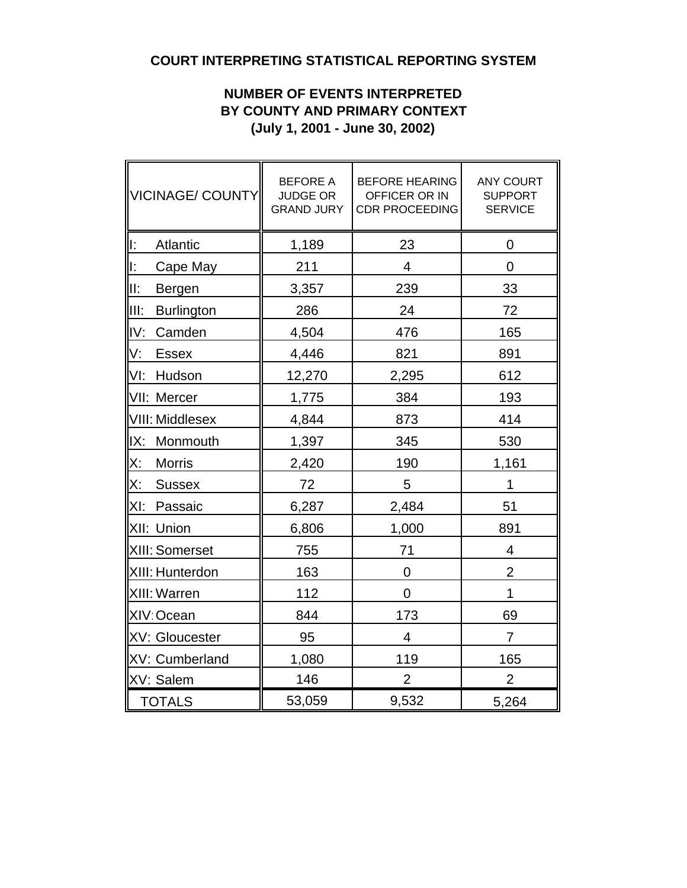# **COURT INTERPRETING STATISTICAL REPORTING SYSTEM**

### **NUMBER OF EVENTS INTERPRETED BY COUNTY AND PRIMARY CONTEXT (July 1, 2001 - June 30, 2002)**

| VICINAGE/ COUNTY           | <b>BEFORE A</b><br><b>JUDGE OR</b><br><b>GRAND JURY</b> | <b>BEFORE HEARING</b><br>OFFICER OR IN<br><b>CDR PROCEEDING</b> | <b>ANY COURT</b><br><b>SUPPORT</b><br><b>SERVICE</b> |  |  |  |
|----------------------------|---------------------------------------------------------|-----------------------------------------------------------------|------------------------------------------------------|--|--|--|
| lĿ.<br>Atlantic            | 1,189                                                   | 23                                                              | 0                                                    |  |  |  |
| ll:<br>Cape May            | 211                                                     | 4                                                               | $\overline{0}$                                       |  |  |  |
| III:<br>Bergen             | 3,357                                                   | 239                                                             | 33                                                   |  |  |  |
| IIII:<br><b>Burlington</b> | 286                                                     | 24                                                              | 72                                                   |  |  |  |
| IV:<br>Camden              | 4,504                                                   | 476                                                             | 165                                                  |  |  |  |
| V.<br><b>Essex</b>         | 4,446                                                   | 821                                                             | 891                                                  |  |  |  |
| VI:<br>Hudson              | 12,270                                                  | 2,295                                                           | 612                                                  |  |  |  |
| VII: Mercer                | 1,775                                                   | 384                                                             | 193                                                  |  |  |  |
| <b>VIII: Middlesex</b>     | 4,844                                                   | 873                                                             | 414                                                  |  |  |  |
| IX:<br>Monmouth            | 1,397                                                   | 345                                                             | 530                                                  |  |  |  |
| <u>X:</u><br><b>Morris</b> | 2,420                                                   | 190                                                             | 1,161                                                |  |  |  |
| Х:<br><b>Sussex</b>        | 72                                                      | 5                                                               | 1                                                    |  |  |  |
| XI: Passaic                | 6,287                                                   | 2,484                                                           | 51                                                   |  |  |  |
| XII: Union                 | 6,806                                                   | 1,000                                                           | 891                                                  |  |  |  |
| XIII: Somerset             | 755                                                     | 71                                                              | $\overline{4}$                                       |  |  |  |
| XIII: Hunterdon            | 163                                                     | $\overline{0}$                                                  | $\overline{2}$                                       |  |  |  |
| XIII: Warren               | 112                                                     | 0                                                               | 1                                                    |  |  |  |
| XIV: Ocean                 | 844                                                     | 173                                                             | 69                                                   |  |  |  |
| <b>XV: Gloucester</b>      | 95                                                      | $\overline{4}$                                                  | $\overline{7}$                                       |  |  |  |
| XV: Cumberland             | 1,080                                                   | 119                                                             | 165                                                  |  |  |  |
| XV: Salem                  | 146                                                     | $\overline{2}$                                                  | $\overline{2}$                                       |  |  |  |
| <b>TOTALS</b>              | 53,059                                                  | 9,532                                                           | 5,264                                                |  |  |  |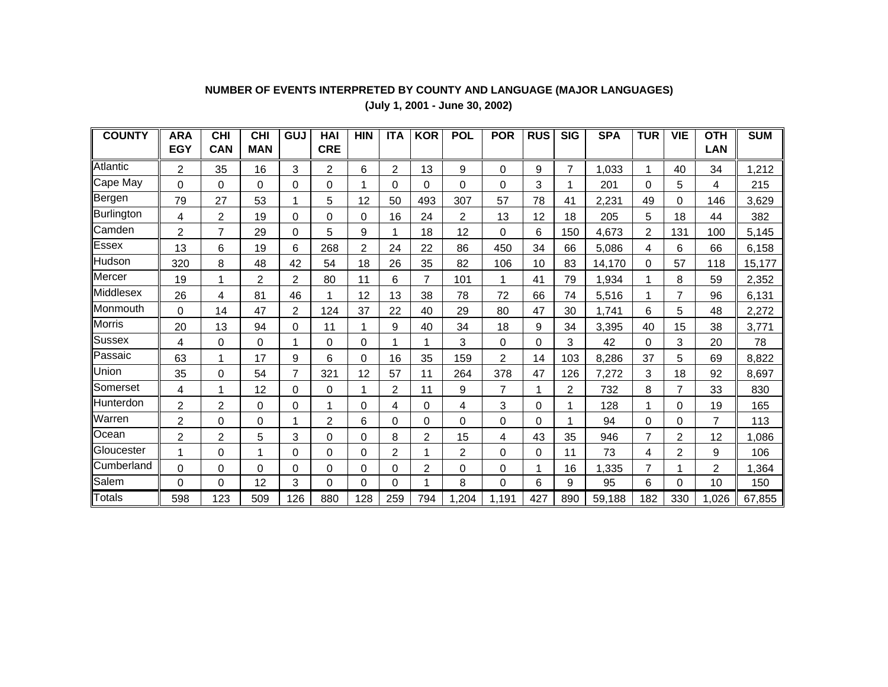# **NUMBER OF EVENTS INTERPRETED BY COUNTY AND LANGUAGE (MAJOR LANGUAGES)**

**(July 1, 2001 - June 30, 2002)**

| <b>COUNTY</b> | <b>ARA</b>     | <b>CHI</b>     | <b>CHI</b>     | GUJ            | HAI            | <b>HIN</b> | <b>ITA</b>     | <b>KOR</b>     | <b>POL</b> | <b>POR</b>     | <b>RUS</b> | <b>SIG</b>     | <b>SPA</b> | <b>TUR</b>     | <b>VIE</b> | <b>OTH</b>     | <b>SUM</b> |
|---------------|----------------|----------------|----------------|----------------|----------------|------------|----------------|----------------|------------|----------------|------------|----------------|------------|----------------|------------|----------------|------------|
|               | <b>EGY</b>     | <b>CAN</b>     | <b>MAN</b>     |                | <b>CRE</b>     |            |                |                |            |                |            |                |            |                |            | <b>LAN</b>     |            |
| Atlantic      | 2              | 35             | 16             | 3              | $\overline{2}$ | 6          | $\overline{2}$ | 13             | 9          | 0              | 9          | $\overline{7}$ | 1,033      | 1              | 40         | 34             | 1,212      |
| Cape May      | 0              | 0              | 0              | 0              | 0              |            | 0              | 0              | 0          | 0              | 3          |                | 201        | 0              | 5          | 4              | 215        |
| Bergen        | 79             | 27             | 53             | 1              | 5              | 12         | 50             | 493            | 307        | 57             | 78         | 41             | 2,231      | 49             | 0          | 146            | 3,629      |
| Burlington    | 4              | 2              | 19             | $\Omega$       | $\Omega$       | 0          | 16             | 24             | 2          | 13             | 12         | 18             | 205        | 5              | 18         | 44             | 382        |
| Camden        | $\overline{2}$ | $\overline{7}$ | 29             | $\Omega$       | 5              | 9          |                | 18             | 12         | 0              | 6          | 150            | 4,673      | $\overline{2}$ | 131        | 100            | 5,145      |
| Essex         | 13             | 6              | 19             | 6              | 268            | 2          | 24             | 22             | 86         | 450            | 34         | 66             | 5,086      | 4              | 6          | 66             | 6,158      |
| Hudson        | 320            | 8              | 48             | 42             | 54             | 18         | 26             | 35             | 82         | 106            | 10         | 83             | 14,170     | $\Omega$       | 57         | 118            | 15,177     |
| Mercer        | 19             | 1              | $\overline{2}$ | 2              | 80             | 11         | 6              | $\overline{7}$ | 101        | 1              | 41         | 79             | 1,934      | 1              | 8          | 59             | 2,352      |
| Middlesex     | 26             | 4              | 81             | 46             |                | 12         | 13             | 38             | 78         | 72             | 66         | 74             | 5,516      | 1              | 7          | 96             | 6,131      |
| Monmouth      | 0              | 14             | 47             | $\overline{2}$ | 124            | 37         | 22             | 40             | 29         | 80             | 47         | 30             | 1,741      | 6              | 5          | 48             | 2,272      |
| Morris        | 20             | 13             | 94             | 0              | 11             |            | 9              | 40             | 34         | 18             | 9          | 34             | 3,395      | 40             | 15         | 38             | 3,771      |
| Sussex        | 4              | $\Omega$       | 0              | 1              | $\Omega$       | $\Omega$   | 1              | 1              | 3          | 0              | 0          | 3              | 42         | 0              | 3          | 20             | 78         |
| Passaic       | 63             | 1              | 17             | 9              | 6              | $\Omega$   | 16             | 35             | 159        | $\overline{c}$ | 14         | 103            | 8,286      | 37             | 5          | 69             | 8,822      |
| Union         | 35             | 0              | 54             | $\overline{7}$ | 321            | 12         | 57             | 11             | 264        | 378            | 47         | 126            | 7,272      | 3              | 18         | 92             | 8,697      |
| Somerset      | 4              | 1              | 12             | 0              | $\Omega$       |            | $\overline{2}$ | 11             | 9          | 7              |            | 2              | 732        | 8              | 7          | 33             | 830        |
| llHunterdon   | $\overline{2}$ | $\overline{2}$ | $\Omega$       | $\Omega$       |                | 0          | 4              | $\Omega$       | 4          | 3              | $\Omega$   |                | 128        | 1              | $\Omega$   | 19             | 165        |
| Warren        | $\overline{2}$ | 0              | 0              | 1              | $\overline{2}$ | 6          | $\Omega$       | 0              | 0          | 0              | $\Omega$   | 1              | 94         | 0              | 0          | 7              | 113        |
| Ocean         | 2              | 2              | 5              | 3              | 0              | $\Omega$   | 8              | $\overline{c}$ | 15         | 4              | 43         | 35             | 946        | $\overline{7}$ | 2          | 12             | 1,086      |
| Gloucester    | 1              | $\Omega$       | 1              | $\Omega$       | $\Omega$       | 0          | 2              | 1              | 2          | 0              | $\Omega$   | 11             | 73         | 4              | 2          | 9              | 106        |
| Cumberland    | $\Omega$       | 0              | 0              | 0              | $\Omega$       | 0          | $\mathbf 0$    | $\overline{c}$ | 0          | 0              | 1          | 16             | 1,335      | $\overline{7}$ |            | $\overline{c}$ | 1,364      |
| Salem         | $\Omega$       | $\Omega$       | 12             | 3              | $\Omega$       | $\Omega$   | $\Omega$       | 1              | 8          | $\Omega$       | 6          | 9              | 95         | 6              | 0          | 10             | 150        |
| <b>Totals</b> | 598            | 123            | 509            | 126            | 880            | 128        | 259            | 794            | 1,204      | 1,191          | 427        | 890            | 59,188     | 182            | 330        | 1,026          | 67,855     |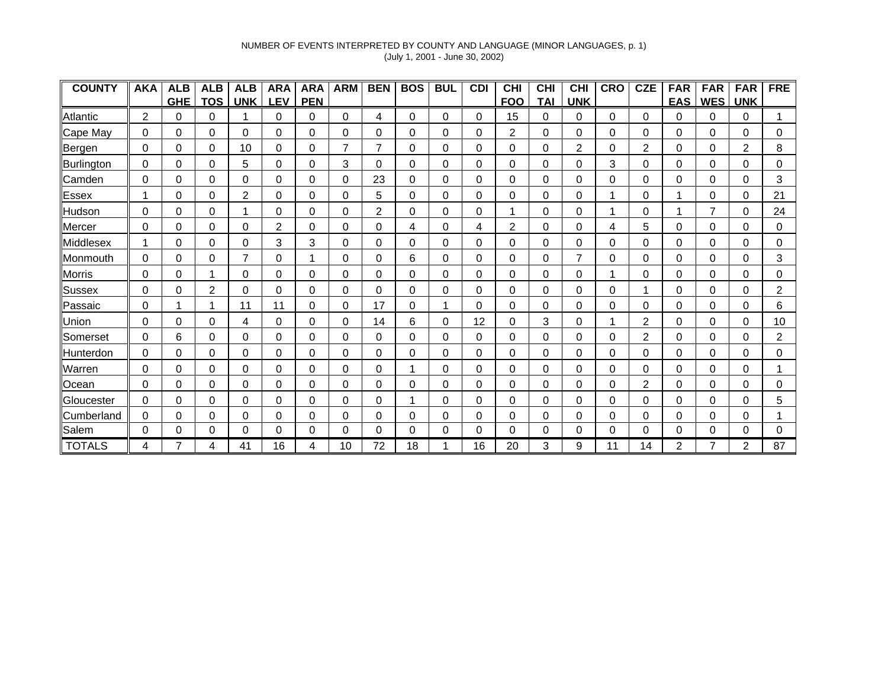### NUMBER OF EVENTS INTERPRETED BY COUNTY AND LANGUAGE (MINOR LANGUAGES, p. 1) (July 1, 2001 - June 30, 2002)

| <b>COUNTY</b>    | <b>AKA</b> | <b>ALB</b> | <b>ALB</b> | <b>ALB</b>     | <b>ARA</b>     | <b>ARA</b> | <b>ARM</b> | <b>BEN</b>  | <b>BOS</b> | <b>BUL</b> | <b>CDI</b> | <b>CHI</b> | CHI        | <b>CHI</b>  | <b>CRO</b> | <b>CZE</b>     | <b>FAR</b> | <b>FAR</b> | <b>FAR</b> | <b>FRE</b> |
|------------------|------------|------------|------------|----------------|----------------|------------|------------|-------------|------------|------------|------------|------------|------------|-------------|------------|----------------|------------|------------|------------|------------|
|                  |            | <b>GHE</b> | <b>TOS</b> | <b>UNK</b>     | <b>EV</b>      | <b>PEN</b> |            |             |            |            |            | <b>FOO</b> | <b>TAI</b> | <b>UNK</b>  |            |                | <u>EAS</u> | <b>WES</b> | <b>UNK</b> |            |
| Atlantic         | 2          | 0          | 0          |                | 0              | 0          | 0          | 4           | $\Omega$   | 0          | 0          | 15         | 0          | 0           | 0          | 0              | 0          | 0          | 0          |            |
| Cape May         | $\Omega$   | 0          | 0          | 0              | 0              | 0          | 0          | 0           | 0          | 0          | 0          | 2          | 0          | 0           | 0          | 0              | 0          | 0          | 0          | 0          |
| Bergen           | $\Omega$   | 0          | 0          | 10             | 0              | 0          |            | 7           | 0          | 0          | $\Omega$   | 0          | 0          | 2           | 0          | 2              | $\Omega$   | 0          | 2          | 8          |
| Burlington       | 0          | 0          | 0          | 5              | 0              | 0          | 3          | $\Omega$    | 0          | 0          | $\Omega$   | 0          | 0          | $\Omega$    | 3          | 0              | $\Omega$   | 0          | 0          | 0          |
| Camden           | $\Omega$   | 0          | 0          | 0              | 0              | 0          | 0          | 23          | 0          | 0          | $\Omega$   | 0          | 0          | 0           | 0          | 0              | 0          | 0          | 0          | 3          |
| Essex            |            | 0          | 0          | $\overline{2}$ | 0              | 0          | 0          | 5           | 0          | 0          | 0          | 0          | 0          | 0           |            | 0              |            | 0          | 0          | 21         |
| Hudson           | $\Omega$   | 0          | 0          |                | 0              | $\Omega$   | 0          | 2           | 0          | 0          | 0          |            | 0          | 0           |            | 0              |            | 7          | 0          | 24         |
| Mercer           | $\Omega$   | 0          | 0          | 0              | $\overline{2}$ | 0          | 0          | 0           | 4          | 0          | 4          | 2          | 0          | 0           | 4          | 5              | 0          | 0          | 0          | 0          |
| Middlesex        | 1          | 0          | 0          | 0              | 3              | 3          | 0          | 0           | 0          | 0          | $\Omega$   | 0          | 0          | 0           | 0          | 0              | 0          | 0          | 0          | 0          |
| Monmouth         | $\Omega$   | 0          | $\Omega$   | 7              | 0              |            | 0          | $\Omega$    | 6          | 0          | 0          | 0          | 0          | 7           | 0          | 0              | 0          | 0          | 0          | 3          |
| <b>Morris</b>    | $\Omega$   | 0          |            | 0              | 0              | 0          | 0          | $\mathbf 0$ | 0          | 0          | 0          | 0          | 0          | $\Omega$    |            | 0              | $\Omega$   | 0          | 0          | 0          |
| Sussex           | 0          | 0          | 2          | 0              | 0              | 0          | 0          | 0           | 0          | 0          | 0          | 0          | 0          | 0           | 0          |                | 0          | 0          | 0          | 2          |
| Passaic          | $\Omega$   | 1          |            | 11             | 11             | 0          | 0          | 17          | 0          |            | 0          | 0          | 0          | 0           | 0          | 0              | 0          | 0          | 0          | 6          |
| Union            | 0          | 0          | 0          | 4              | 0              | $\Omega$   | 0          | 14          | 6          | 0          | 12         | 0          | 3          | 0           |            | 2              | 0          | 0          | 0          | 10         |
| Somerset         | 0          | 6          | 0          | 0              | 0              | 0          | 0          | 0           | 0          | 0          | 0          | 0          | 0          | 0           | 0          | 2              | 0          | 0          | 0          | 2          |
| <b>Hunterdon</b> | 0          | 0          | 0          | 0              | 0              | $\Omega$   | 0          | 0           | 0          | 0          | $\Omega$   | 0          | 0          | 0           | 0          | 0              | 0          | 0          | 0          | 0          |
| Warren           | $\Omega$   | 0          | 0          | 0              | 0              | $\Omega$   | 0          | $\Omega$    |            | 0          | $\Omega$   | 0          | 0          | 0           | 0          | $\Omega$       | 0          | 0          | 0          |            |
| Ocean            | $\Omega$   | 0          | 0          | 0              | 0              | 0          | 0          | $\mathbf 0$ | 0          | 0          | 0          | 0          | 0          | $\mathbf 0$ | 0          | $\overline{2}$ | 0          | 0          | 0          | 0          |
| Gloucester       | $\Omega$   | 0          | $\Omega$   | 0              | 0              | $\Omega$   | 0          | 0           |            | 0          | 0          | 0          | 0          | 0           | 0          | 0              | 0          | 0          | 0          | 5          |
| Cumberland       | 0          | 0          | 0          | 0              | 0              | 0          | 0          | 0           | 0          | 0          | 0          | 0          | 0          | 0           | 0          | 0              | 0          | 0          | 0          |            |
| Salem            | 0          | 0          | 0          | 0              | 0              | $\Omega$   | 0          | 0           | 0          | 0          | 0          | 0          | 0          | 0           | 0          | 0              | 0          | 0          | 0          | 0          |
| <b>TOTALS</b>    |            |            | Λ          | 41             | 16             | Δ          | 10         | 72          | 18         |            | 16         | 20         | 3          | 9           | 11         | 14             | 2          |            | 2          | 87         |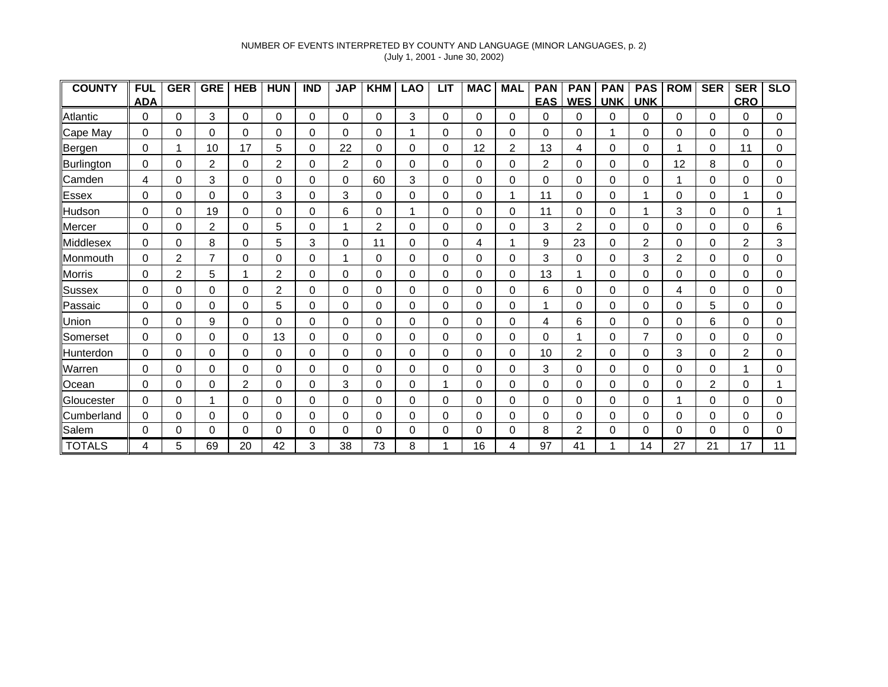### NUMBER OF EVENTS INTERPRETED BY COUNTY AND LANGUAGE (MINOR LANGUAGES, p. 2) (July 1, 2001 - June 30, 2002)

| <b>COUNTY</b>    | <b>FUL</b> | <b>GER</b> | <b>GRE</b>     | <b>HEB</b>     | <b>HUN</b>     | <b>IND</b> | <b>JAP</b>     | <b>KHM</b>     | <b>LAO</b> | <b>LIT</b> | <b>MAC</b> | <b>MAL</b>     | <b>PAN</b>     | <b>PAN</b>     | <b>PAN</b> | <b>PAS</b> | <b>ROM</b> | <b>SER</b>     | <b>SER</b> | <b>SLO</b> |
|------------------|------------|------------|----------------|----------------|----------------|------------|----------------|----------------|------------|------------|------------|----------------|----------------|----------------|------------|------------|------------|----------------|------------|------------|
|                  | <b>ADA</b> |            |                |                |                |            |                |                |            |            |            |                | <b>EAS</b>     | <b>WES</b>     | <b>UNK</b> | <b>UNK</b> |            |                | <b>CRO</b> |            |
| Atlantic         | 0          | 0          | 3              | 0              | 0              | 0          | 0              | 0              | 3          | 0          | 0          | 0              | 0              | 0              | 0          | 0          | 0          | 0              | 0          | 0          |
| Cape May         | 0          | 0          | 0              | 0              | 0              | 0          | 0              | 0              |            | 0          | 0          | 0              | 0              | 0              |            | 0          | 0          | 0              | 0          | 0          |
| Bergen           | $\Omega$   | 1          | 10             | 17             | 5              | 0          | 22             | 0              | 0          | 0          | 12         | $\overline{2}$ | 13             | 4              | 0          | 0          |            | 0              | 11         | 0          |
| Burlington       | 0          | 0          | $\overline{2}$ | $\Omega$       | $\overline{2}$ | $\Omega$   | $\overline{2}$ | $\mathbf 0$    | $\Omega$   | 0          | 0          | 0              | $\overline{2}$ | 0              | 0          | 0          | 12         | 8              | 0          | 0          |
| Camden           | 4          | 0          | 3              | 0              | 0              | 0          | 0              | 60             | 3          | 0          | 0          | 0              | 0              | $\Omega$       | 0          | 0          |            | 0              | 0          | 0          |
| <b>Essex</b>     | 0          | 0          | 0              | 0              | 3              | 0          | 3              | 0              | 0          | 0          | 0          |                | 11             | 0              | 0          |            | 0          | 0              |            | 0          |
| Hudson           | 0          | 0          | 19             | 0              | 0              | 0          | 6              | 0              |            | 0          | 0          | 0              | 11             | 0              | 0          |            | 3          | 0              | 0          |            |
| Mercer           | 0          | 0          | 2              | 0              | 5              | 0          |                | $\overline{c}$ | 0          | 0          | 0          | 0              | 3              | $\overline{c}$ | 0          | 0          | 0          | 0              | 0          | 6          |
| Middlesex        | 0          | 0          | 8              | 0              | 5              | 3          | 0              | 11             | 0          | 0          | 4          |                | 9              | 23             | 0          | 2          | 0          | 0              | 2          | 3          |
| Monmouth         | 0          | 2          |                | 0              | 0              | 0          |                | 0              | 0          | 0          | 0          | 0              | 3              | 0              | 0          | 3          | 2          | 0              | 0          | 0          |
| <b>Morris</b>    | 0          | 2          | 5              |                | $\overline{2}$ | 0          | 0              | 0              | $\Omega$   | 0          | 0          | 0              | 13             | 1              | 0          | 0          | $\Omega$   | 0              | 0          | 0          |
| Sussex           | 0          | 0          | 0              | 0              | $\overline{c}$ | 0          | 0              | 0              | 0          | 0          | 0          | 0              | 6              | 0              | 0          | 0          | 4          | 0              | $\Omega$   | 0          |
| Passaic          | 0          | 0          | 0              | 0              | 5              | 0          | 0              | 0              | 0          | 0          | 0          | 0              |                | 0              | 0          | 0          | 0          | 5              | 0          | 0          |
| Union            | 0          | 0          | 9              | 0              | 0              | 0          | 0              | 0              | 0          | 0          | 0          | 0              | 4              | 6              | 0          | 0          | 0          | 6              | 0          | 0          |
| Somerset         | $\Omega$   | 0          | 0              | 0              | 13             | 0          | 0              | 0              | 0          | 0          | 0          | 0              | 0              | 1              | 0          |            | 0          | 0              | 0          | 0          |
| <b>Hunterdon</b> | 0          | 0          | 0              | 0              | 0              | 0          | 0              | 0              | 0          | 0          | 0          | 0              | 10             | 2              | 0          | 0          | 3          | 0              | 2          | 0          |
| Warren           | $\Omega$   | 0          | $\Omega$       | 0              | $\Omega$       | 0          | 0              | $\Omega$       | 0          | 0          | 0          | 0              | 3              | 0              | 0          | $\Omega$   | 0          | 0              |            | 0          |
| Ocean            | 0          | 0          | 0              | $\overline{2}$ | 0              | 0          | 3              | 0              | 0          |            | 0          | 0              | 0              | 0              | 0          | 0          | 0          | $\overline{2}$ | 0          |            |
| Gloucester       | 0          | 0          |                | 0              | 0              | 0          | 0              | 0              | 0          | 0          | 0          | 0              | 0              | 0              | 0          | 0          |            | 0              | 0          | 0          |
| Cumberland       | 0          | 0          | 0              | 0              | 0              | 0          | 0              | 0              | 0          | 0          | 0          | 0              | 0              | 0              | 0          | 0          | 0          | 0              | 0          | 0          |
| Salem            | 0          | 0          | 0              | $\Omega$       | 0              | 0          | 0              | 0              | 0          | 0          | 0          | 0              | 8              | $\overline{2}$ | 0          | 0          | 0          | 0              | 0          | 0          |
| <b>TOTALS</b>    |            | 5          | 69             | 20             | 42             | 3          | 38             | 73             | 8          |            | 16         |                | 97             | 41             |            | 14         | 27         | 21             | 17         | 11         |